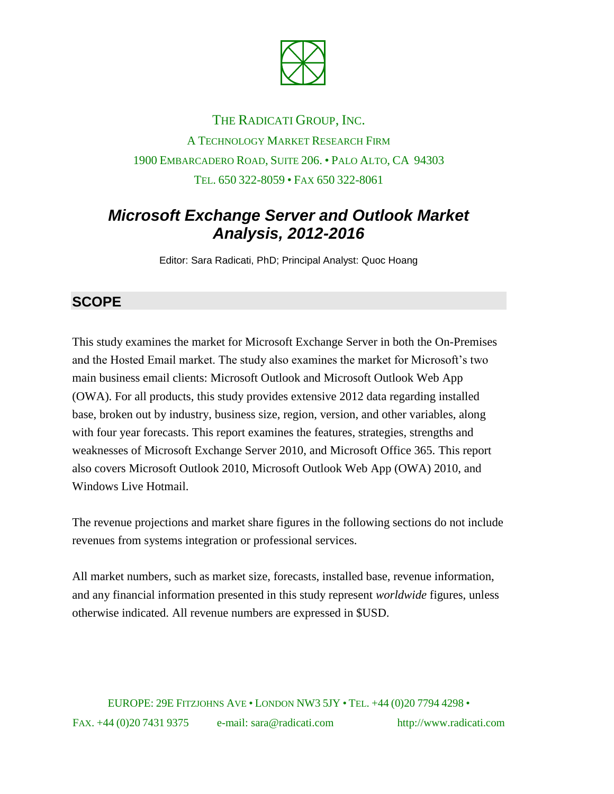

# THE RADICATI GROUP, INC. A TECHNOLOGY MARKET RESEARCH FIRM 1900 EMBARCADERO ROAD, SUITE 206. • PALO ALTO, CA 94303 TEL. 650 322-8059 • FAX 650 322-8061

## *Microsoft Exchange Server and Outlook Market Analysis, 2012-2016*

Editor: Sara Radicati, PhD; Principal Analyst: Quoc Hoang

### **SCOPE**

This study examines the market for Microsoft Exchange Server in both the On-Premises and the Hosted Email market. The study also examines the market for Microsoft's two main business email clients: Microsoft Outlook and Microsoft Outlook Web App (OWA). For all products, this study provides extensive 2012 data regarding installed base, broken out by industry, business size, region, version, and other variables, along with four year forecasts. This report examines the features, strategies, strengths and weaknesses of Microsoft Exchange Server 2010, and Microsoft Office 365. This report also covers Microsoft Outlook 2010, Microsoft Outlook Web App (OWA) 2010, and Windows Live Hotmail.

The revenue projections and market share figures in the following sections do not include revenues from systems integration or professional services.

All market numbers, such as market size, forecasts, installed base, revenue information, and any financial information presented in this study represent *worldwide* figures, unless otherwise indicated. All revenue numbers are expressed in \$USD.

EUROPE: 29E FITZJOHNS AVE • LONDON NW3 5JY • TEL. +44 (0)20 7794 4298 • FAX. +44 (0)20 7431 9375 e-mail: sara@radicati.com http://www.radicati.com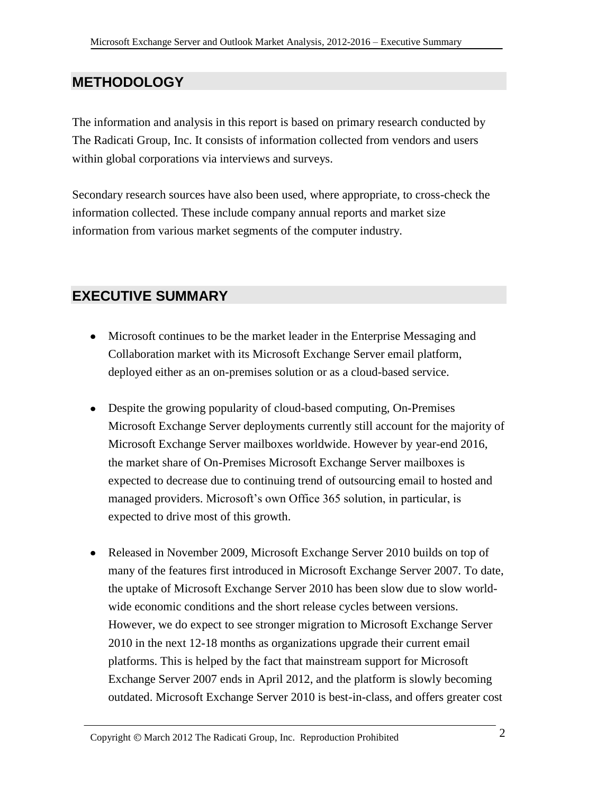#### **METHODOLOGY**

The information and analysis in this report is based on primary research conducted by The Radicati Group, Inc. It consists of information collected from vendors and users within global corporations via interviews and surveys.

Secondary research sources have also been used, where appropriate, to cross-check the information collected. These include company annual reports and market size information from various market segments of the computer industry.

#### **EXECUTIVE SUMMARY**

- Microsoft continues to be the market leader in the Enterprise Messaging and Collaboration market with its Microsoft Exchange Server email platform, deployed either as an on-premises solution or as a cloud-based service.
- Despite the growing popularity of cloud-based computing, On-Premises Microsoft Exchange Server deployments currently still account for the majority of Microsoft Exchange Server mailboxes worldwide. However by year-end 2016, the market share of On-Premises Microsoft Exchange Server mailboxes is expected to decrease due to continuing trend of outsourcing email to hosted and managed providers. Microsoft's own Office 365 solution, in particular, is expected to drive most of this growth.
- Released in November 2009, Microsoft Exchange Server 2010 builds on top of many of the features first introduced in Microsoft Exchange Server 2007. To date, the uptake of Microsoft Exchange Server 2010 has been slow due to slow worldwide economic conditions and the short release cycles between versions. However, we do expect to see stronger migration to Microsoft Exchange Server 2010 in the next 12-18 months as organizations upgrade their current email platforms. This is helped by the fact that mainstream support for Microsoft Exchange Server 2007 ends in April 2012, and the platform is slowly becoming outdated. Microsoft Exchange Server 2010 is best-in-class, and offers greater cost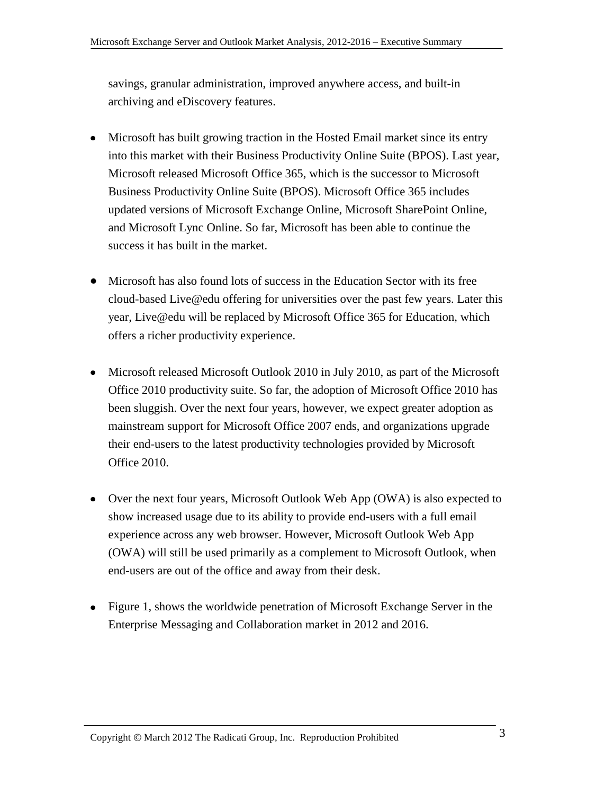savings, granular administration, improved anywhere access, and built-in archiving and eDiscovery features.

- Microsoft has built growing traction in the Hosted Email market since its entry into this market with their Business Productivity Online Suite (BPOS). Last year, Microsoft released Microsoft Office 365, which is the successor to Microsoft Business Productivity Online Suite (BPOS). Microsoft Office 365 includes updated versions of Microsoft Exchange Online, Microsoft SharePoint Online, and Microsoft Lync Online. So far, Microsoft has been able to continue the success it has built in the market.
- Microsoft has also found lots of success in the Education Sector with its free cloud-based Live@edu offering for universities over the past few years. Later this year, Live@edu will be replaced by Microsoft Office 365 for Education, which offers a richer productivity experience.
- Microsoft released Microsoft Outlook 2010 in July 2010, as part of the Microsoft Office 2010 productivity suite. So far, the adoption of Microsoft Office 2010 has been sluggish. Over the next four years, however, we expect greater adoption as mainstream support for Microsoft Office 2007 ends, and organizations upgrade their end-users to the latest productivity technologies provided by Microsoft Office 2010.
- Over the next four years, Microsoft Outlook Web App (OWA) is also expected to show increased usage due to its ability to provide end-users with a full email experience across any web browser. However, Microsoft Outlook Web App (OWA) will still be used primarily as a complement to Microsoft Outlook, when end-users are out of the office and away from their desk.
- Figure 1, shows the worldwide penetration of Microsoft Exchange Server in the Enterprise Messaging and Collaboration market in 2012 and 2016.